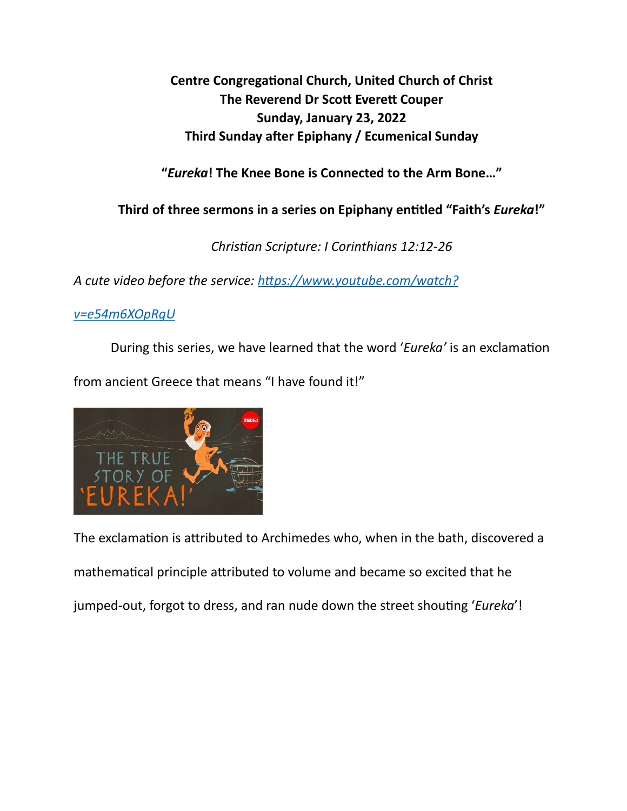**Centre Congregational Church, United Church of Christ The Reverend Dr Scott Everett Couper Sunday, January 23, 2022 Third Sunday after Epiphany / Ecumenical Sunday** 

**"***Eureka***! The Knee Bone is Connected to the Arm Bone…"** 

**Third of three sermons in a series on Epiphany en\*tled "Faith's** *Eureka***!"** 

*Chris&an Scripture: I Corinthians 12:12-26* 

A cute video before the service: https://www.youtube.com/watch?

## *[v=e54m6XOpRgU](https://www.youtube.com/watch?v=e54m6XOpRgU)*

During this series, we have learned that the word 'Eureka' is an exclamation from ancient Greece that means "I have found it!"



The exclamation is attributed to Archimedes who, when in the bath, discovered a mathematical principle attributed to volume and became so excited that he jumped-out, forgot to dress, and ran nude down the street shouting '*Eureka*'!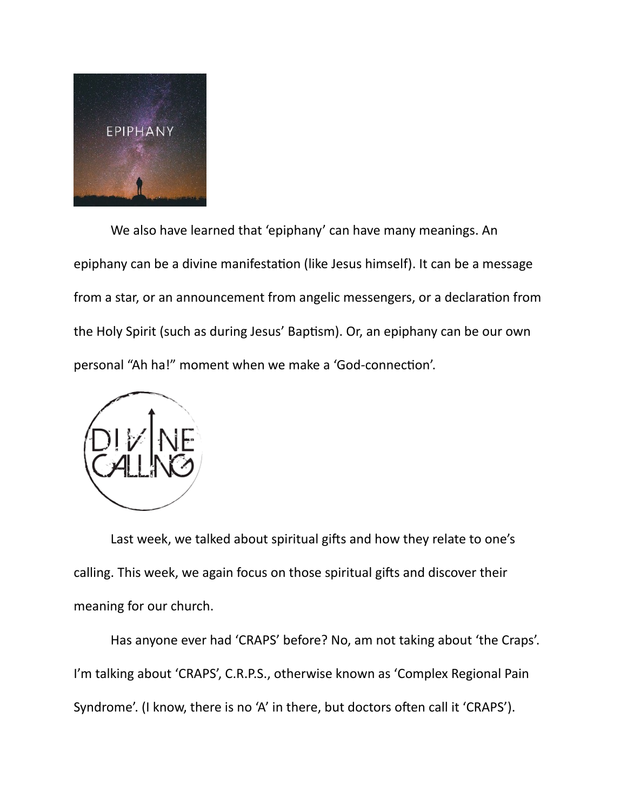

We also have learned that 'epiphany' can have many meanings. An epiphany can be a divine manifestation (like Jesus himself). It can be a message from a star, or an announcement from angelic messengers, or a declaration from the Holy Spirit (such as during Jesus' Baptism). Or, an epiphany can be our own personal "Ah ha!" moment when we make a 'God-connection'.



Last week, we talked about spiritual gifts and how they relate to one's calling. This week, we again focus on those spiritual gifts and discover their meaning for our church.

 Has anyone ever had 'CRAPS' before? No, am not taking about 'the Craps'. I'm talking about 'CRAPS', C.R.P.S., otherwise known as 'Complex Regional Pain Syndrome'. (I know, there is no 'A' in there, but doctors often call it 'CRAPS').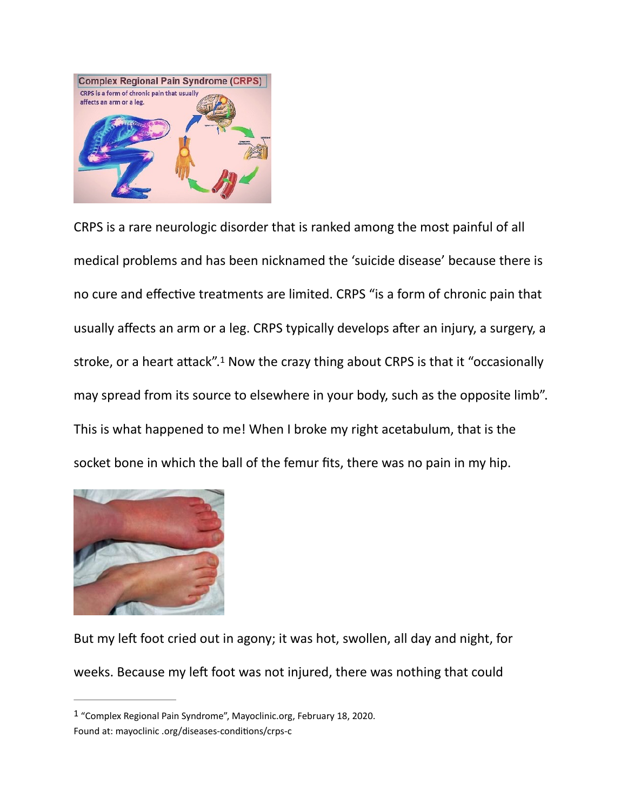

<span id="page-2-1"></span>CRPS is a rare neurologic disorder that is ranked among the most painful of all medical problems and has been nicknamed the 'suicide disease' because there is no cure and effective treatments are limited. CRPS "is a form of chronic pain that usually affects an arm or a leg. CRPS typically develops after an injury, a surgery, a stroke,or a heart attack".<sup>[1](#page-2-0)</sup> Now the crazy thing about CRPS is that it "occasionally may spread from its source to elsewhere in your body, such as the opposite limb". This is what happened to me! When I broke my right acetabulum, that is the socket bone in which the ball of the femur fits, there was no pain in my hip.



But my left foot cried out in agony; it was hot, swollen, all day and night, for weeks. Because my left foot was not injured, there was nothing that could

<span id="page-2-0"></span> $1$ "Complex Regional Pain Syndrome", Mayoclinic.org, February 18, 2020. Found at: mayoclinic .org/diseases-conditions/crps-c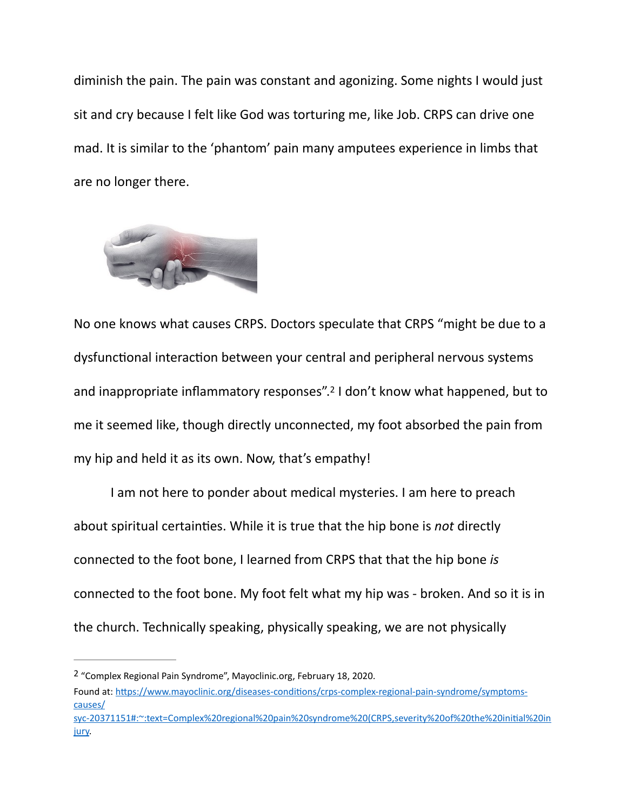diminish the pain. The pain was constant and agonizing. Some nights I would just sit and cry because I felt like God was torturing me, like Job. CRPS can drive one mad. It is similar to the 'phantom' pain many amputees experience in limbs that are no longer there.



<span id="page-3-1"></span>No one knows what causes CRPS. Doctors speculate that CRPS "might be due to a dysfunctional interaction between your central and peripheral nervous systems and inappropriate inflammatory responses"[.](#page-3-0)<sup>[2](#page-3-0)</sup> I don't know what happened, but to me it seemed like, though directly unconnected, my foot absorbed the pain from my hip and held it as its own. Now, that's empathy!

 I am not here to ponder about medical mysteries. I am here to preach about spiritual certainties. While it is true that the hip bone is *not* directly connected to the foot bone, I learned from CRPS that that the hip bone *is* connected to the foot bone. My foot felt what my hip was - broken. And so it is in the church. Technically speaking, physically speaking, we are not physically

<span id="page-3-0"></span><sup>&</sup>lt;sup>2</sup>"Complex Regional Pain Syndrome", Mayoclinic.org, February 18, [2](#page-3-1)020.

Found at: https://www.mayoclinic.org/diseases-conditions/crps-complex-regional-pain-syndrome/symptoms[causes/](https://www.mayoclinic.org/diseases-conditions/crps-complex-regional-pain-syndrome/symptoms-causes/syc-20371151#:~:text=Complex%2520regional%2520pain%2520syndrome%2520(CRPS,severity%2520of%2520the%2520initial%2520injury)

[syc-20371151#:~:text=Complex%20regional%20pain%20syndrome%20\(CRPS,severity%20of%20the%20ini7al%20in](https://www.mayoclinic.org/diseases-conditions/crps-complex-regional-pain-syndrome/symptoms-causes/syc-20371151#:~:text=Complex%2520regional%2520pain%2520syndrome%2520(CRPS,severity%2520of%2520the%2520initial%2520injury) [jury](https://www.mayoclinic.org/diseases-conditions/crps-complex-regional-pain-syndrome/symptoms-causes/syc-20371151#:~:text=Complex%2520regional%2520pain%2520syndrome%2520(CRPS,severity%2520of%2520the%2520initial%2520injury).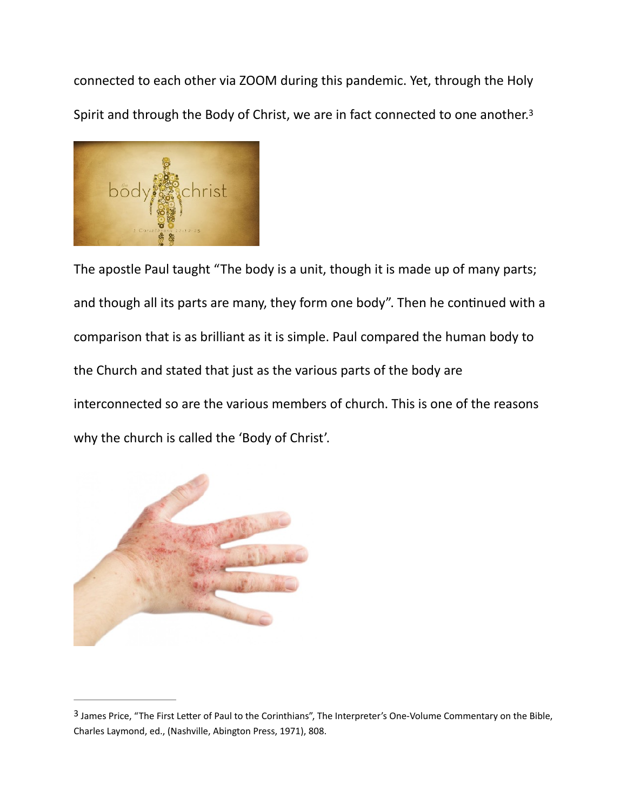<span id="page-4-1"></span>connected to each other via ZOOM during this pandemic. Yet, through the Holy Spirit and through the Body of Christ, we are in fact connected to one another.<sup>3</sup>



The apostle Paul taught "The body is a unit, though it is made up of many parts; and though all its parts are many, they form one body". Then he continued with a comparison that is as brilliant as it is simple. Paul compared the human body to the Church and stated that just as the various parts of the body are interconnected so are the various members of church. This is one of the reasons why the church is called the 'Body of Christ'.



<span id="page-4-0"></span><sup>&</sup>lt;sup>3</sup>James Price, "The First Letter of Paul to the Corinthians", The Interpreter's One-Volume Commentary on the Bible, Charles Laymond, ed., (Nashville, Abington Press, 1971), 808.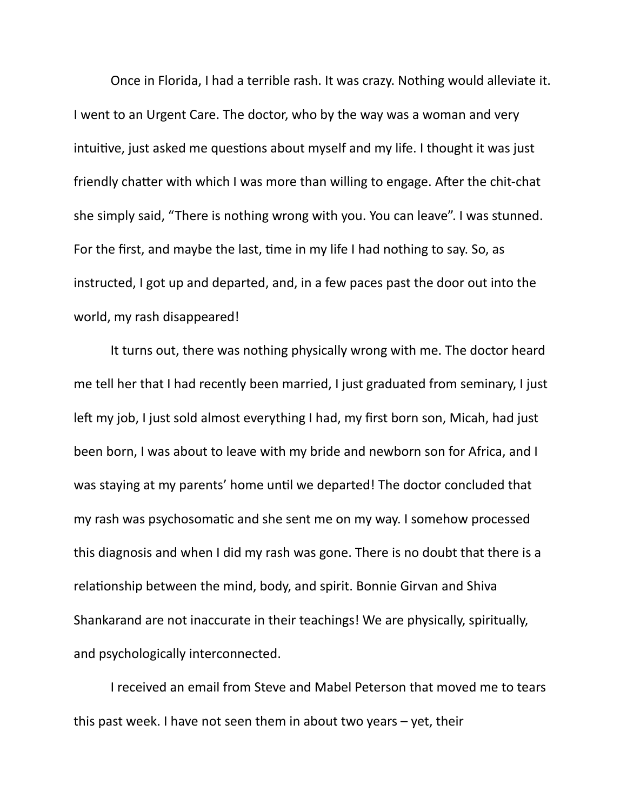Once in Florida, I had a terrible rash. It was crazy. Nothing would alleviate it. I went to an Urgent Care. The doctor, who by the way was a woman and very intuitive, just asked me questions about myself and my life. I thought it was just friendly chatter with which I was more than willing to engage. After the chit-chat she simply said, "There is nothing wrong with you. You can leave". I was stunned. For the first, and maybe the last, time in my life I had nothing to say. So, as instructed, I got up and departed, and, in a few paces past the door out into the world, my rash disappeared!

 It turns out, there was nothing physically wrong with me. The doctor heard me tell her that I had recently been married, I just graduated from seminary, I just left my job, I just sold almost everything I had, my first born son, Micah, had just been born, I was about to leave with my bride and newborn son for Africa, and I was staying at my parents' home until we departed! The doctor concluded that my rash was psychosomatic and she sent me on my way. I somehow processed this diagnosis and when I did my rash was gone. There is no doubt that there is a relationship between the mind, body, and spirit. Bonnie Girvan and Shiva Shankarand are not inaccurate in their teachings! We are physically, spiritually, and psychologically interconnected.

 I received an email from Steve and Mabel Peterson that moved me to tears this past week. I have not seen them in about two years – yet, their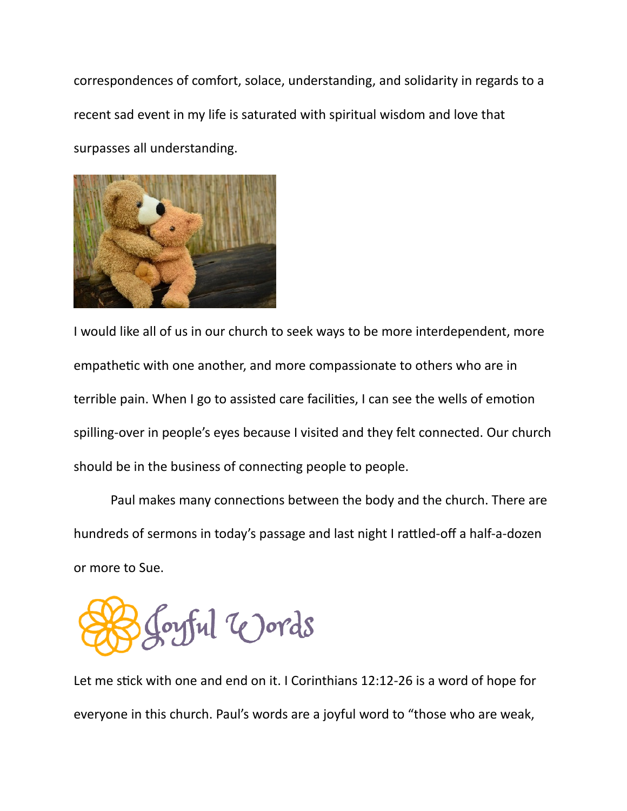correspondences of comfort, solace, understanding, and solidarity in regards to a recent sad event in my life is saturated with spiritual wisdom and love that surpasses all understanding.



I would like all of us in our church to seek ways to be more interdependent, more empathetic with one another, and more compassionate to others who are in terrible pain. When I go to assisted care facilities, I can see the wells of emotion spilling-over in people's eyes because I visited and they felt connected. Our church should be in the business of connecting people to people.

Paul makes many connections between the body and the church. There are hundreds of sermons in today's passage and last night I rattled-off a half-a-dozen or more to Sue.

oyful Words

Let me stick with one and end on it. I Corinthians 12:12-26 is a word of hope for everyone in this church. Paul's words are a joyful word to "those who are weak,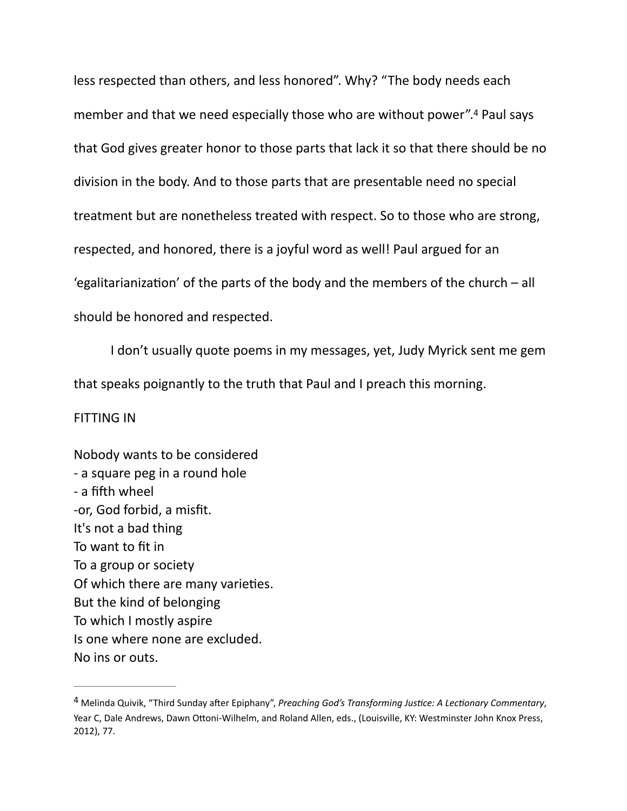<span id="page-7-1"></span>less respected than others, and less honored". Why? "The body needs each member and that we need especially those who are without power".<sup>[4](#page-7-0)</sup> Paul says that God gives greater honor to those parts that lack it so that there should be no division in the body. And to those parts that are presentable need no special treatment but are nonetheless treated with respect. So to those who are strong, respected, and honored, there is a joyful word as well! Paul argued for an 'egalitarianization' of the parts of the body and the members of the church – all should be honored and respected.

I don't usually quote poems in my messages, yet, Judy Myrick sent me gem that speaks poignantly to the truth that Paul and I preach this morning.

## FITTING IN

Nobody wants to be considered - a square peg in a round hole - a fifth wheel -or, God forbid, a misfit. It's not a bad thing To want to fit in To a group or society Of which there are many varieties. But the kind of belonging To which I mostly aspire Is one where none are excluded. No ins or outs.

<span id="page-7-0"></span><sup>&</sup>lt;sup>[4](#page-7-1)</sup> Melinda Quivik, "Third Sunday after Epiphany", *Preaching God's Transforming Justice: A Lectionary Commentary*, Year C, Dale Andrews, Dawn Ottoni-Wilhelm, and Roland Allen, eds., (Louisville, KY: Westminster John Knox Press, 2012), 77.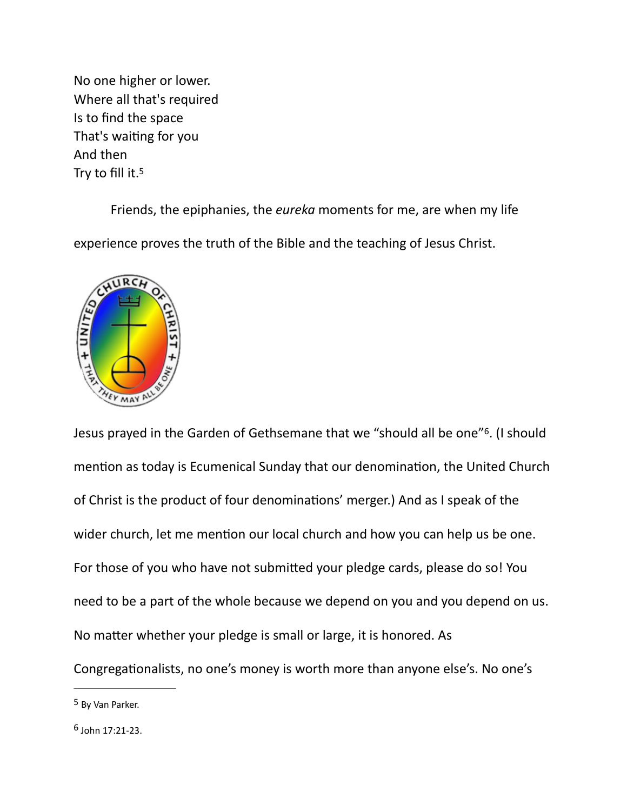No one higher or lower. Where all that's required Is to find the space That's waiting for you And then Try to fill it.[5](#page-8-0)

<span id="page-8-2"></span> Friends, the epiphanies, the *eureka* moments for me, are when my life experience proves the truth of the Bible and the teaching of Jesus Christ.



<span id="page-8-3"></span>Jesus prayed in the Garden of Gethsemane that we "should all be one"<sup>6</sup>[.](#page-8-1) (I should mention as today is Ecumenical Sunday that our denomination, the United Church of Christ is the product of four denominations' merger.) And as I speak of the wider church, let me mention our local church and how you can help us be one. For those of you who have not submitted your pledge cards, please do so! You need to be a part of the whole because we depend on you and you depend on us. No matter whether your pledge is small or large, it is honored. As Congregationalists, no one's money is worth more than anyone else's. No one's

<span id="page-8-0"></span><sup>&</sup>lt;sup>[5](#page-8-2)</sup> By Van Parker.

<span id="page-8-1"></span> $6$  John 17:21-23.